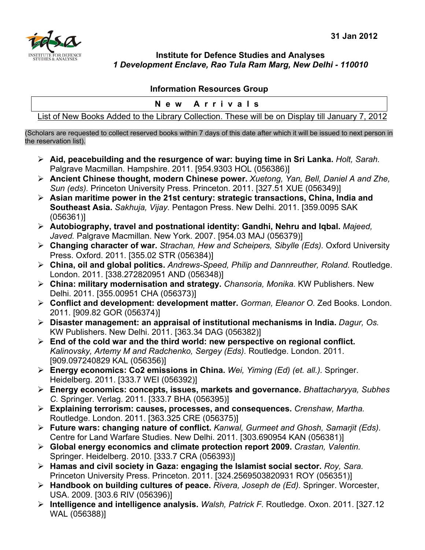

**Institute for Defence Studies and Analyses**  *1 Development Enclave, Rao Tula Ram Marg, New Delhi - 110010* 

## **Information Resources Group**

|  |  |                             |  | New Arrivals |     |  |  |
|--|--|-----------------------------|--|--------------|-----|--|--|
|  |  | $\sim$ $\sim$ $\sim$ $\sim$ |  | .            | --- |  |  |

List of New Books Added to the Library Collection. These will be on Display till January 7, 2012

(Scholars are requested to collect reserved books within 7 days of this date after which it will be issued to next person in the reservation list).

- ¾ **Aid, peacebuilding and the resurgence of war: buying time in Sri Lanka.** *Holt, Sarah.*  Palgrave Macmillan. Hampshire. 2011. [954.9303 HOL (056386)]
- ¾ **Ancient Chinese thought, modern Chinese power.** *Xuetong, Yan, Bell, Daniel A and Zhe, Sun (eds).* Princeton University Press. Princeton. 2011. [327.51 XUE (056349)]
- ¾ **Asian maritime power in the 21st century: strategic transactions, China, India and Southeast Asia.** *Sakhuja, Vijay.* Pentagon Press. New Delhi. 2011. [359.0095 SAK (056361)]
- ¾ **Autobiography, travel and postnational identity: Gandhi, Nehru and Iqbal.** *Majeed, Javed.* Palgrave Macmillan. New York. 2007. [954.03 MAJ (056379)]
- ¾ **Changing character of war.** *Strachan, Hew and Scheipers, Sibylle (Eds).* Oxford University Press. Oxford. 2011. [355.02 STR (056384)]
- ¾ **China, oil and global politics.** *Andrews-Speed, Philip and Dannreuther, Roland.* Routledge. London. 2011. [338.272820951 AND (056348)]
- ¾ **China: military modernisation and strategy.** *Chansoria, Monika.* KW Publishers. New Delhi. 2011. [355.00951 CHA (056373)]
- ¾ **Conflict and development: development matter.** *Gorman, Eleanor O.* Zed Books. London. 2011. [909.82 GOR (056374)]
- ¾ **Disaster management: an appraisal of institutional mechanisms in India.** *Dagur, Os.*  KW Publishers. New Delhi. 2011. [363.34 DAG (056382)]
- ¾ **End of the cold war and the third world: new perspective on regional conflict.**  *Kalinovsky, Artemy M and Radchenko, Sergey (Eds).* Routledge. London. 2011. [909.097240829 KAL (056356)]
- ¾ **Energy economics: Co2 emissions in China.** *Wei, Yiming (Ed) (et. all.).* Springer. Heidelberg. 2011. [333.7 WEI (056392)]
- ¾ **Energy economics: concepts, issues, markets and governance.** *Bhattacharyya, Subhes C.* Springer. Verlag. 2011. [333.7 BHA (056395)]
- ¾ **Explaining terrorism: causes, processes, and consequences.** *Crenshaw, Martha.*  Routledge. London. 2011. [363.325 CRE (056375)]
- ¾ **Future wars: changing nature of conflict.** *Kanwal, Gurmeet and Ghosh, Samarjit (Eds).*  Centre for Land Warfare Studies. New Delhi. 2011. [303.690954 KAN (056381)]
- ¾ **Global energy economics and climate protection report 2009.** *Crastan, Valentin.*  Springer. Heidelberg. 2010. [333.7 CRA (056393)]
- ¾ **Hamas and civil society in Gaza: engaging the Islamist social sector.** *Roy, Sara.*  Princeton University Press. Princeton. 2011. [324.2569503820931 ROY (056351)]
- ¾ **Handbook on building cultures of peace.** *Rivera, Joseph de (Ed).* Springer. Worcester, USA. 2009. [303.6 RIV (056396)]
- ¾ **Intelligence and intelligence analysis.** *Walsh, Patrick F.* Routledge. Oxon. 2011. [327.12 WAL (056388)]